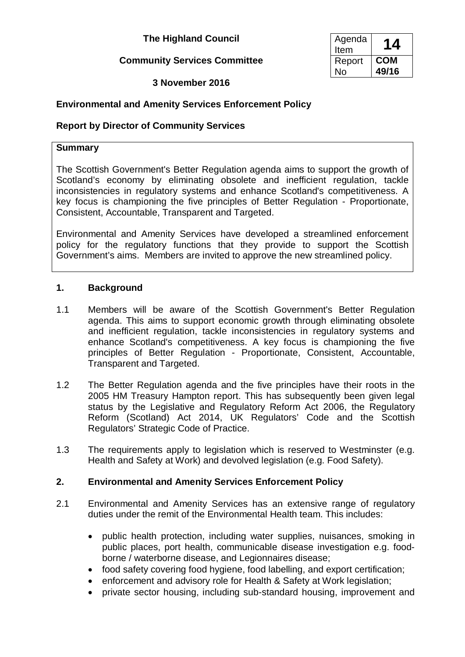### **The Highland Council**

### **Community Services Committee**

### **3 November 2016**

## **Environmental and Amenity Services Enforcement Policy**

### **Report by Director of Community Services**

### **Summary**

The Scottish Government's Better Regulation agenda aims to support the growth of Scotland's economy by eliminating obsolete and inefficient regulation, tackle inconsistencies in regulatory systems and enhance Scotland's competitiveness. A key focus is championing the five principles of Better Regulation - Proportionate, Consistent, Accountable, Transparent and Targeted.

Environmental and Amenity Services have developed a streamlined enforcement policy for the regulatory functions that they provide to support the Scottish Government's aims. Members are invited to approve the new streamlined policy.

#### **1. Background**

- 1.1 Members will be aware of the Scottish Government's Better Regulation agenda. This aims to support economic growth through eliminating obsolete and inefficient regulation, tackle inconsistencies in regulatory systems and enhance Scotland's competitiveness. A key focus is championing the five principles of Better Regulation - Proportionate, Consistent, Accountable, Transparent and Targeted.
- 1.2 The Better Regulation agenda and the five principles have their roots in the 2005 HM Treasury Hampton report. This has subsequently been given legal status by the Legislative and Regulatory Reform Act 2006, the Regulatory Reform (Scotland) Act 2014, UK Regulators' Code and the Scottish Regulators' Strategic Code of Practice.
- 1.3 The requirements apply to legislation which is reserved to Westminster (e.g. Health and Safety at Work) and devolved legislation (e.g. Food Safety).

### **2. Environmental and Amenity Services Enforcement Policy**

- 2.1 Environmental and Amenity Services has an extensive range of regulatory duties under the remit of the Environmental Health team. This includes:
	- public health protection, including water supplies, nuisances, smoking in public places, port health, communicable disease investigation e.g. foodborne / waterborne disease, and Legionnaires disease;
	- food safety covering food hygiene, food labelling, and export certification;
	- enforcement and advisory role for Health & Safety at Work legislation;
	- private sector housing, including sub-standard housing, improvement and

| Agenda<br>Item | 14    |
|----------------|-------|
| Report         | COM   |
| N٥             | 49/16 |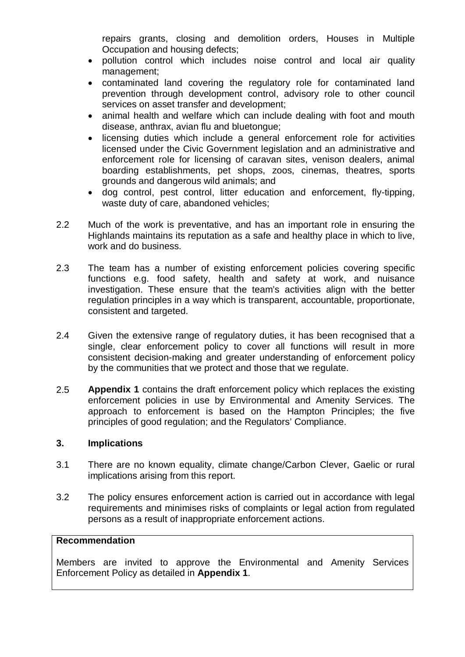repairs grants, closing and demolition orders, Houses in Multiple Occupation and housing defects;

- pollution control which includes noise control and local air quality management;
- contaminated land covering the regulatory role for contaminated land prevention through development control, advisory role to other council services on asset transfer and development;
- animal health and welfare which can include dealing with foot and mouth disease, anthrax, avian flu and bluetongue;
- licensing duties which include a general enforcement role for activities licensed under the Civic Government legislation and an administrative and enforcement role for licensing of caravan sites, venison dealers, animal boarding establishments, pet shops, zoos, cinemas, theatres, sports grounds and dangerous wild animals; and
- dog control, pest control, litter education and enforcement, fly-tipping, waste duty of care, abandoned vehicles;
- 2.2 Much of the work is preventative, and has an important role in ensuring the Highlands maintains its reputation as a safe and healthy place in which to live, work and do business.
- 2.3 The team has a number of existing enforcement policies covering specific functions e.g. food safety, health and safety at work, and nuisance investigation. These ensure that the team's activities align with the better regulation principles in a way which is transparent, accountable, proportionate, consistent and targeted.
- 2.4 Given the extensive range of regulatory duties, it has been recognised that a single, clear enforcement policy to cover all functions will result in more consistent decision-making and greater understanding of enforcement policy by the communities that we protect and those that we regulate.
- 2.5 **Appendix 1** contains the draft enforcement policy which replaces the existing enforcement policies in use by Environmental and Amenity Services. The approach to enforcement is based on the Hampton Principles; the five principles of good regulation; and the Regulators' Compliance.

### **3. Implications**

- 3.1 There are no known equality, climate change/Carbon Clever, Gaelic or rural implications arising from this report.
- 3.2 The policy ensures enforcement action is carried out in accordance with legal requirements and minimises risks of complaints or legal action from regulated persons as a result of inappropriate enforcement actions.

#### **Recommendation**

Members are invited to approve the Environmental and Amenity Services Enforcement Policy as detailed in **Appendix 1**.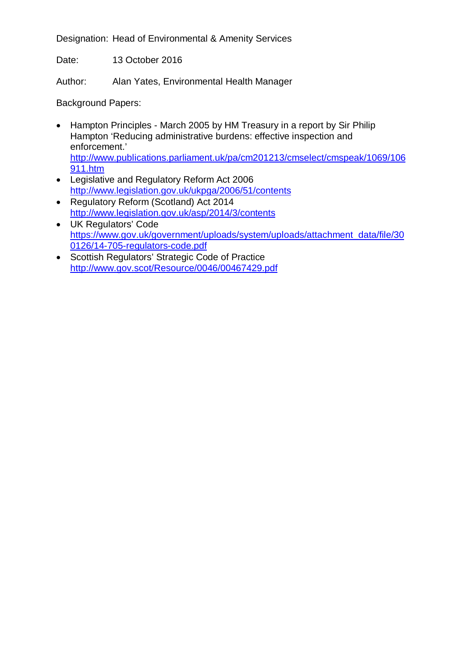Designation: Head of Environmental & Amenity Services

Date: 13 October 2016

Author: Alan Yates, Environmental Health Manager

Background Papers:

- Hampton Principles March 2005 by HM Treasury in a report by Sir Philip Hampton 'Reducing administrative burdens: effective inspection and enforcement.' [http://www.publications.parliament.uk/pa/cm201213/cmselect/cmspeak/1069/106](http://www.publications.parliament.uk/pa/cm201213/cmselect/cmspeak/1069/106911.htm) [911.htm](http://www.publications.parliament.uk/pa/cm201213/cmselect/cmspeak/1069/106911.htm)
- Legislative and Regulatory Reform Act 2006 <http://www.legislation.gov.uk/ukpga/2006/51/contents>
- Regulatory Reform (Scotland) Act 2014 <http://www.legislation.gov.uk/asp/2014/3/contents>
- UK Regulators' Code [https://www.gov.uk/government/uploads/system/uploads/attachment\\_data/file/30](https://www.gov.uk/government/uploads/system/uploads/attachment_data/file/300126/14-705-regulators-code.pdf) [0126/14-705-regulators-code.pdf](https://www.gov.uk/government/uploads/system/uploads/attachment_data/file/300126/14-705-regulators-code.pdf)
- Scottish Regulators' Strategic Code of Practice <http://www.gov.scot/Resource/0046/00467429.pdf>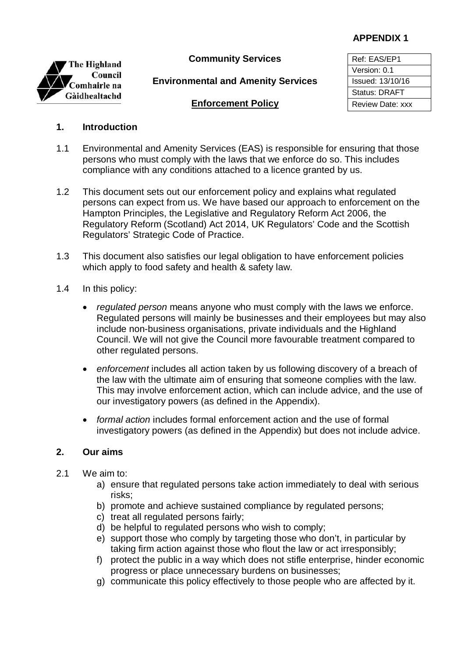### **APPENDIX 1**



**Community Services** Ref: EAS/EP1

**Environmental and Amenity Services** | Issued: 13/10/16

Version: 0.1 Status: DRAFT

### **Enforcement Policy** Review Date: xxx

### **1. Introduction**

- 1.1 Environmental and Amenity Services (EAS) is responsible for ensuring that those persons who must comply with the laws that we enforce do so. This includes compliance with any conditions attached to a licence granted by us.
- 1.2 This document sets out our enforcement policy and explains what regulated persons can expect from us. We have based our approach to enforcement on the Hampton Principles, the Legislative and Regulatory Reform Act 2006, the Regulatory Reform (Scotland) Act 2014, UK Regulators' Code and the Scottish Regulators' Strategic Code of Practice.
- 1.3 This document also satisfies our legal obligation to have enforcement policies which apply to food safety and health & safety law.
- 1.4 In this policy:
	- *regulated person* means anyone who must comply with the laws we enforce. Regulated persons will mainly be businesses and their employees but may also include non-business organisations, private individuals and the Highland Council. We will not give the Council more favourable treatment compared to other regulated persons.
	- *enforcement* includes all action taken by us following discovery of a breach of the law with the ultimate aim of ensuring that someone complies with the law. This may involve enforcement action, which can include advice, and the use of our investigatory powers (as defined in the Appendix).
	- *formal action* includes formal enforcement action and the use of formal investigatory powers (as defined in the Appendix) but does not include advice.

### **2. Our aims**

- 2.1 We aim to:
	- a) ensure that regulated persons take action immediately to deal with serious risks;
	- b) promote and achieve sustained compliance by regulated persons;
	- c) treat all regulated persons fairly;
	- d) be helpful to regulated persons who wish to comply;
	- e) support those who comply by targeting those who don't, in particular by taking firm action against those who flout the law or act irresponsibly;
	- f) protect the public in a way which does not stifle enterprise, hinder economic progress or place unnecessary burdens on businesses;
	- g) communicate this policy effectively to those people who are affected by it.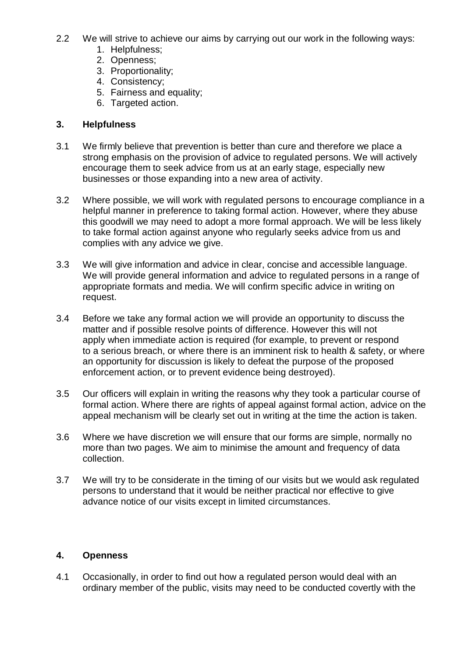- 2.2 We will strive to achieve our aims by carrying out our work in the following ways:
	- 1. Helpfulness;
	- 2. Openness;
	- 3. Proportionality;
	- 4. Consistency;
	- 5. Fairness and equality;
	- 6. Targeted action.

### **3. Helpfulness**

- 3.1 We firmly believe that prevention is better than cure and therefore we place a strong emphasis on the provision of advice to regulated persons. We will actively encourage them to seek advice from us at an early stage, especially new businesses or those expanding into a new area of activity.
- 3.2 Where possible, we will work with regulated persons to encourage compliance in a helpful manner in preference to taking formal action. However, where they abuse this goodwill we may need to adopt a more formal approach. We will be less likely to take formal action against anyone who regularly seeks advice from us and complies with any advice we give.
- 3.3 We will give information and advice in clear, concise and accessible language. We will provide general information and advice to regulated persons in a range of appropriate formats and media. We will confirm specific advice in writing on request.
- 3.4 Before we take any formal action we will provide an opportunity to discuss the matter and if possible resolve points of difference. However this will not apply when immediate action is required (for example, to prevent or respond to a serious breach, or where there is an imminent risk to health & safety, or where an opportunity for discussion is likely to defeat the purpose of the proposed enforcement action, or to prevent evidence being destroyed).
- 3.5 Our officers will explain in writing the reasons why they took a particular course of formal action. Where there are rights of appeal against formal action, advice on the appeal mechanism will be clearly set out in writing at the time the action is taken.
- 3.6 Where we have discretion we will ensure that our forms are simple, normally no more than two pages. We aim to minimise the amount and frequency of data collection.
- 3.7 We will try to be considerate in the timing of our visits but we would ask regulated persons to understand that it would be neither practical nor effective to give advance notice of our visits except in limited circumstances.

### **4. Openness**

4.1 Occasionally, in order to find out how a regulated person would deal with an ordinary member of the public, visits may need to be conducted covertly with the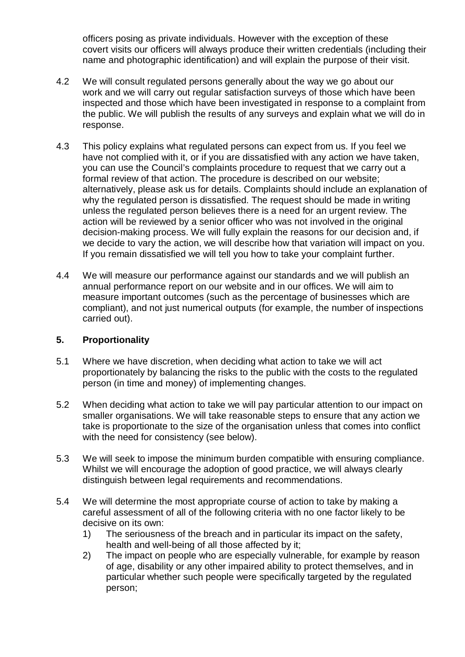officers posing as private individuals. However with the exception of these covert visits our officers will always produce their written credentials (including their name and photographic identification) and will explain the purpose of their visit.

- 4.2 We will consult regulated persons generally about the way we go about our work and we will carry out regular satisfaction surveys of those which have been inspected and those which have been investigated in response to a complaint from the public. We will publish the results of any surveys and explain what we will do in response.
- 4.3 This policy explains what regulated persons can expect from us. If you feel we have not complied with it, or if you are dissatisfied with any action we have taken, you can use the Council's complaints procedure to request that we carry out a formal review of that action. The procedure is described on our website; alternatively, please ask us for details. Complaints should include an explanation of why the regulated person is dissatisfied. The request should be made in writing unless the regulated person believes there is a need for an urgent review. The action will be reviewed by a senior officer who was not involved in the original decision-making process. We will fully explain the reasons for our decision and, if we decide to vary the action, we will describe how that variation will impact on you. If you remain dissatisfied we will tell you how to take your complaint further.
- 4.4 We will measure our performance against our standards and we will publish an annual performance report on our website and in our offices. We will aim to measure important outcomes (such as the percentage of businesses which are compliant), and not just numerical outputs (for example, the number of inspections carried out).

### **5. Proportionality**

- 5.1 Where we have discretion, when deciding what action to take we will act proportionately by balancing the risks to the public with the costs to the regulated person (in time and money) of implementing changes.
- 5.2 When deciding what action to take we will pay particular attention to our impact on smaller organisations. We will take reasonable steps to ensure that any action we take is proportionate to the size of the organisation unless that comes into conflict with the need for consistency (see below).
- 5.3 We will seek to impose the minimum burden compatible with ensuring compliance. Whilst we will encourage the adoption of good practice, we will always clearly distinguish between legal requirements and recommendations.
- 5.4 We will determine the most appropriate course of action to take by making a careful assessment of all of the following criteria with no one factor likely to be decisive on its own:
	- 1) The seriousness of the breach and in particular its impact on the safety, health and well-being of all those affected by it;
	- 2) The impact on people who are especially vulnerable, for example by reason of age, disability or any other impaired ability to protect themselves, and in particular whether such people were specifically targeted by the regulated person;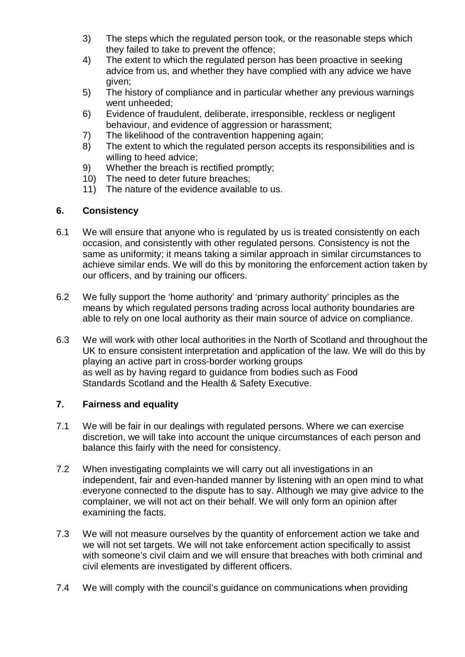- 3) The steps which the regulated person took, or the reasonable steps which they failed to take to prevent the offence;
- 4) The extent to which the regulated person has been proactive in seeking advice from us, and whether they have complied with any advice we have given;
- 5) The history of compliance and in particular whether any previous warnings went unheeded;
- 6) Evidence of fraudulent, deliberate, irresponsible, reckless or negligent behaviour, and evidence of aggression or harassment;
- 7) The likelihood of the contravention happening again;<br>8) The extent to which the regulated person accepts its
- The extent to which the regulated person accepts its responsibilities and is willing to heed advice;
- 9) Whether the breach is rectified promptly;
- 10) The need to deter future breaches;
- 11) The nature of the evidence available to us.

### **6. Consistency**

- 6.1 We will ensure that anyone who is regulated by us is treated consistently on each occasion, and consistently with other regulated persons. Consistency is not the same as uniformity; it means taking a similar approach in similar circumstances to achieve similar ends. We will do this by monitoring the enforcement action taken by our officers, and by training our officers.
- 6.2 We fully support the 'home authority' and 'primary authority' principles as the means by which regulated persons trading across local authority boundaries are able to rely on one local authority as their main source of advice on compliance.
- 6.3 We will work with other local authorities in the North of Scotland and throughout the UK to ensure consistent interpretation and application of the law. We will do this by playing an active part in cross-border working groups as well as by having regard to guidance from bodies such as Food Standards Scotland and the Health & Safety Executive.

### **7. Fairness and equality**

- 7.1 We will be fair in our dealings with regulated persons. Where we can exercise discretion, we will take into account the unique circumstances of each person and balance this fairly with the need for consistency.
- 7.2 When investigating complaints we will carry out all investigations in an independent, fair and even-handed manner by listening with an open mind to what everyone connected to the dispute has to say. Although we may give advice to the complainer, we will not act on their behalf. We will only form an opinion after examining the facts.
- 7.3 We will not measure ourselves by the quantity of enforcement action we take and we will not set targets. We will not take enforcement action specifically to assist with someone's civil claim and we will ensure that breaches with both criminal and civil elements are investigated by different officers.
- 7.4 We will comply with the council's guidance on communications when providing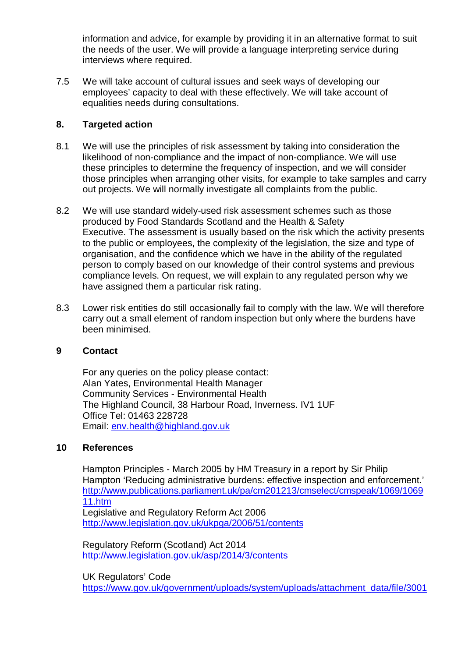information and advice, for example by providing it in an alternative format to suit the needs of the user. We will provide a language interpreting service during interviews where required.

7.5 We will take account of cultural issues and seek ways of developing our employees' capacity to deal with these effectively. We will take account of equalities needs during consultations.

### **8. Targeted action**

- 8.1 We will use the principles of risk assessment by taking into consideration the likelihood of non-compliance and the impact of non-compliance. We will use these principles to determine the frequency of inspection, and we will consider those principles when arranging other visits, for example to take samples and carry out projects. We will normally investigate all complaints from the public.
- 8.2 We will use standard widely-used risk assessment schemes such as those produced by Food Standards Scotland and the Health & Safety Executive. The assessment is usually based on the risk which the activity presents to the public or employees, the complexity of the legislation, the size and type of organisation, and the confidence which we have in the ability of the regulated person to comply based on our knowledge of their control systems and previous compliance levels. On request, we will explain to any regulated person why we have assigned them a particular risk rating.
- 8.3 Lower risk entities do still occasionally fail to comply with the law. We will therefore carry out a small element of random inspection but only where the burdens have been minimised.

### **9 Contact**

For any queries on the policy please contact: Alan Yates, Environmental Health Manager Community Services - Environmental Health The Highland Council, 38 Harbour Road, Inverness. IV1 1UF Office Tel: 01463 228728 Email: [env.health@highland.gov.uk](mailto:env.health@highland.gov.uk)

### **10 References**

Hampton Principles - March 2005 by HM Treasury in a report by Sir Philip Hampton 'Reducing administrative burdens: effective inspection and enforcement.' [http://www.publications.parliament.uk/pa/cm201213/cmselect/cmspeak/1069/1069](http://www.publications.parliament.uk/pa/cm201213/cmselect/cmspeak/1069/106911.htm) [11.htm](http://www.publications.parliament.uk/pa/cm201213/cmselect/cmspeak/1069/106911.htm) Legislative and Regulatory Reform Act 2006 <http://www.legislation.gov.uk/ukpga/2006/51/contents>

Regulatory Reform (Scotland) Act 2014 <http://www.legislation.gov.uk/asp/2014/3/contents>

UK Regulators' Code [https://www.gov.uk/government/uploads/system/uploads/attachment\\_data/file/3001](https://www.gov.uk/government/uploads/system/uploads/attachment_data/file/300126/14-705-regulators-code.pdf)